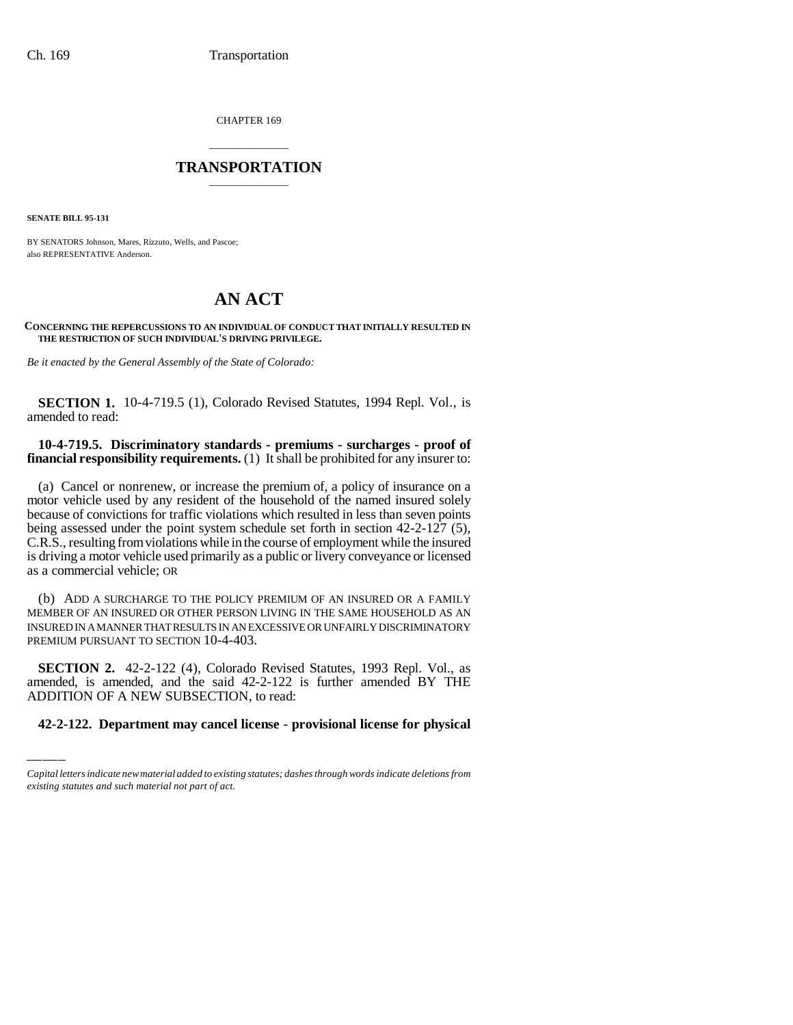CHAPTER 169

# \_\_\_\_\_\_\_\_\_\_\_\_\_\_\_ **TRANSPORTATION** \_\_\_\_\_\_\_\_\_\_\_\_\_\_\_

**SENATE BILL 95-131**

BY SENATORS Johnson, Mares, Rizzuto, Wells, and Pascoe; also REPRESENTATIVE Anderson.

# **AN ACT**

#### **CONCERNING THE REPERCUSSIONS TO AN INDIVIDUAL OF CONDUCT THAT INITIALLY RESULTED IN THE RESTRICTION OF SUCH INDIVIDUAL'S DRIVING PRIVILEGE.**

*Be it enacted by the General Assembly of the State of Colorado:*

**SECTION 1.** 10-4-719.5 (1), Colorado Revised Statutes, 1994 Repl. Vol., is amended to read:

## **10-4-719.5. Discriminatory standards - premiums - surcharges - proof of financial responsibility requirements.** (1) It shall be prohibited for any insurer to:

(a) Cancel or nonrenew, or increase the premium of, a policy of insurance on a motor vehicle used by any resident of the household of the named insured solely because of convictions for traffic violations which resulted in less than seven points being assessed under the point system schedule set forth in section 42-2-127 (5), C.R.S., resulting from violations while in the course of employment while the insured is driving a motor vehicle used primarily as a public or livery conveyance or licensed as a commercial vehicle; OR

(b) ADD A SURCHARGE TO THE POLICY PREMIUM OF AN INSURED OR A FAMILY MEMBER OF AN INSURED OR OTHER PERSON LIVING IN THE SAME HOUSEHOLD AS AN INSURED IN A MANNER THAT RESULTS IN AN EXCESSIVE OR UNFAIRLY DISCRIMINATORY PREMIUM PURSUANT TO SECTION 10-4-403.

 **SECTION 2.** 42-2-122 (4), Colorado Revised Statutes, 1993 Repl. Vol., as amended, is amended, and the said 42-2-122 is further amended BY THE ADDITION OF A NEW SUBSECTION, to read:

## **42-2-122. Department may cancel license - provisional license for physical**

*Capital letters indicate new material added to existing statutes; dashes through words indicate deletions from existing statutes and such material not part of act.*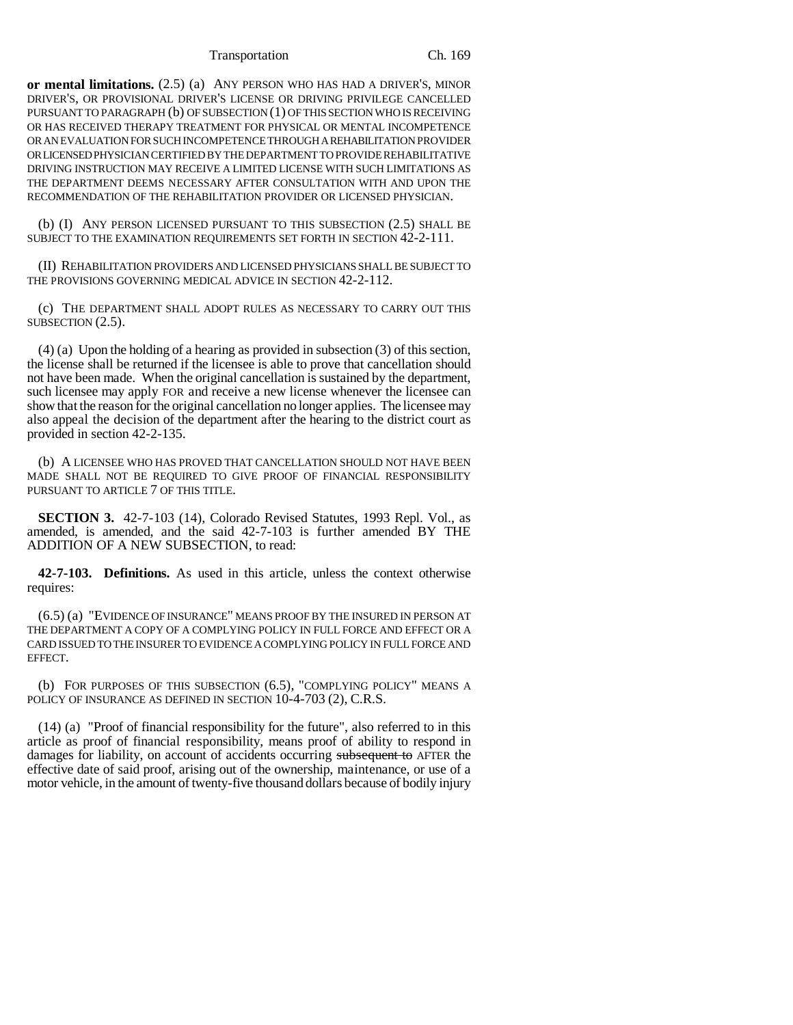Transportation Ch. 169

**or mental limitations.** (2.5) (a) ANY PERSON WHO HAS HAD A DRIVER'S, MINOR DRIVER'S, OR PROVISIONAL DRIVER'S LICENSE OR DRIVING PRIVILEGE CANCELLED PURSUANT TO PARAGRAPH (b) OF SUBSECTION (1) OF THIS SECTION WHO IS RECEIVING OR HAS RECEIVED THERAPY TREATMENT FOR PHYSICAL OR MENTAL INCOMPETENCE OR AN EVALUATION FOR SUCH INCOMPETENCE THROUGH A REHABILITATION PROVIDER OR LICENSED PHYSICIAN CERTIFIED BY THE DEPARTMENT TO PROVIDE REHABILITATIVE DRIVING INSTRUCTION MAY RECEIVE A LIMITED LICENSE WITH SUCH LIMITATIONS AS THE DEPARTMENT DEEMS NECESSARY AFTER CONSULTATION WITH AND UPON THE RECOMMENDATION OF THE REHABILITATION PROVIDER OR LICENSED PHYSICIAN.

(b) (I) ANY PERSON LICENSED PURSUANT TO THIS SUBSECTION (2.5) SHALL BE SUBJECT TO THE EXAMINATION REQUIREMENTS SET FORTH IN SECTION 42-2-111.

(II) REHABILITATION PROVIDERS AND LICENSED PHYSICIANS SHALL BE SUBJECT TO THE PROVISIONS GOVERNING MEDICAL ADVICE IN SECTION 42-2-112.

(c) THE DEPARTMENT SHALL ADOPT RULES AS NECESSARY TO CARRY OUT THIS SUBSECTION  $(2.5)$ .

(4) (a) Upon the holding of a hearing as provided in subsection (3) of this section, the license shall be returned if the licensee is able to prove that cancellation should not have been made. When the original cancellation is sustained by the department, such licensee may apply FOR and receive a new license whenever the licensee can show that the reason for the original cancellation no longer applies. The licensee may also appeal the decision of the department after the hearing to the district court as provided in section 42-2-135.

(b) A LICENSEE WHO HAS PROVED THAT CANCELLATION SHOULD NOT HAVE BEEN MADE SHALL NOT BE REQUIRED TO GIVE PROOF OF FINANCIAL RESPONSIBILITY PURSUANT TO ARTICLE 7 OF THIS TITLE.

**SECTION 3.** 42-7-103 (14), Colorado Revised Statutes, 1993 Repl. Vol., as amended, is amended, and the said 42-7-103 is further amended BY THE ADDITION OF A NEW SUBSECTION, to read:

**42-7-103. Definitions.** As used in this article, unless the context otherwise requires:

(6.5) (a) "EVIDENCE OF INSURANCE" MEANS PROOF BY THE INSURED IN PERSON AT THE DEPARTMENT A COPY OF A COMPLYING POLICY IN FULL FORCE AND EFFECT OR A CARD ISSUED TO THE INSURER TO EVIDENCE A COMPLYING POLICY IN FULL FORCE AND EFFECT.

(b) FOR PURPOSES OF THIS SUBSECTION (6.5), "COMPLYING POLICY" MEANS A POLICY OF INSURANCE AS DEFINED IN SECTION 10-4-703 (2), C.R.S.

(14) (a) "Proof of financial responsibility for the future", also referred to in this article as proof of financial responsibility, means proof of ability to respond in damages for liability, on account of accidents occurring subsequent to AFTER the effective date of said proof, arising out of the ownership, maintenance, or use of a motor vehicle, in the amount of twenty-five thousand dollars because of bodily injury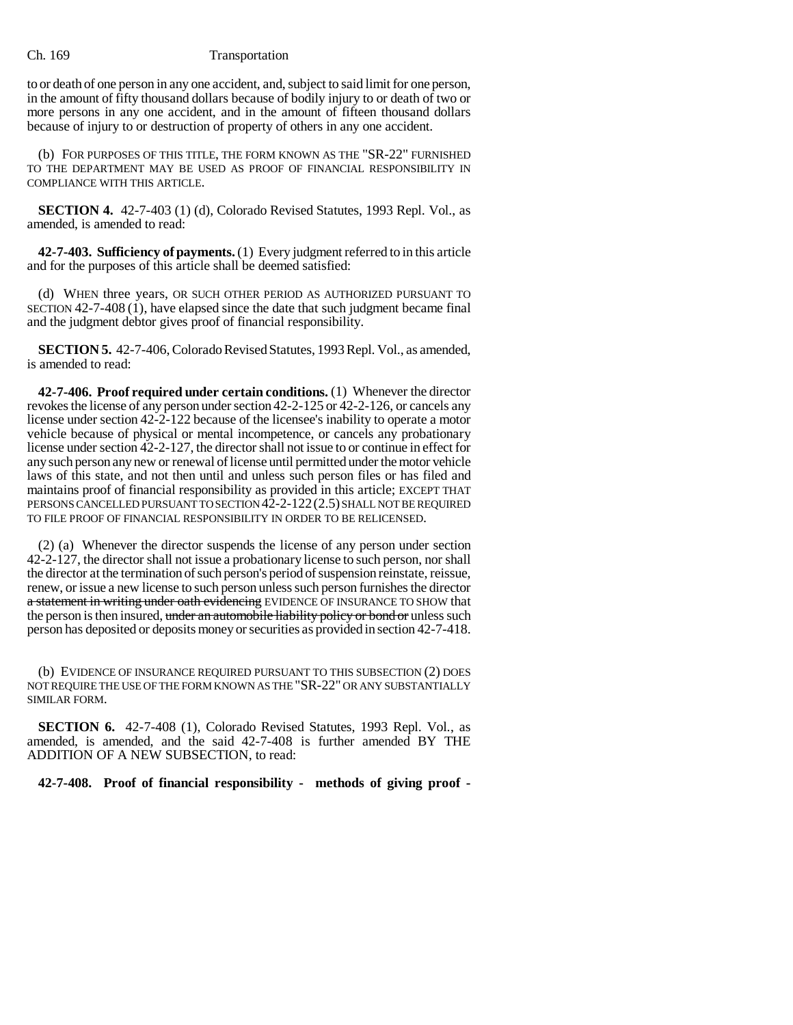### Ch. 169 Transportation

to or death of one person in any one accident, and, subject to said limit for one person, in the amount of fifty thousand dollars because of bodily injury to or death of two or more persons in any one accident, and in the amount of fifteen thousand dollars because of injury to or destruction of property of others in any one accident.

(b) FOR PURPOSES OF THIS TITLE, THE FORM KNOWN AS THE "SR-22" FURNISHED TO THE DEPARTMENT MAY BE USED AS PROOF OF FINANCIAL RESPONSIBILITY IN COMPLIANCE WITH THIS ARTICLE.

**SECTION 4.** 42-7-403 (1) (d), Colorado Revised Statutes, 1993 Repl. Vol., as amended, is amended to read:

**42-7-403. Sufficiency of payments.** (1) Every judgment referred to in this article and for the purposes of this article shall be deemed satisfied:

(d) WHEN three years, OR SUCH OTHER PERIOD AS AUTHORIZED PURSUANT TO SECTION  $42-7-408(1)$ , have elapsed since the date that such judgment became final and the judgment debtor gives proof of financial responsibility.

**SECTION 5.** 42-7-406, Colorado Revised Statutes, 1993 Repl. Vol., as amended, is amended to read:

**42-7-406. Proof required under certain conditions.** (1) Whenever the director revokes the license of any person under section 42-2-125 or 42-2-126, or cancels any license under section 42-2-122 because of the licensee's inability to operate a motor vehicle because of physical or mental incompetence, or cancels any probationary license under section 42-2-127, the director shall not issue to or continue in effect for any such person any new or renewal of license until permitted under the motor vehicle laws of this state, and not then until and unless such person files or has filed and maintains proof of financial responsibility as provided in this article; EXCEPT THAT PERSONS CANCELLED PURSUANT TO SECTION 42-2-122(2.5) SHALL NOT BE REQUIRED TO FILE PROOF OF FINANCIAL RESPONSIBILITY IN ORDER TO BE RELICENSED.

(2) (a) Whenever the director suspends the license of any person under section 42-2-127, the director shall not issue a probationary license to such person, nor shall the director at the termination of such person's period of suspension reinstate, reissue, renew, or issue a new license to such person unless such person furnishes the director a statement in writing under oath evidencing EVIDENCE OF INSURANCE TO SHOW that the person is then insured, under an automobile liability policy or bond or unless such person has deposited or deposits money or securities as provided in section 42-7-418.

(b) EVIDENCE OF INSURANCE REQUIRED PURSUANT TO THIS SUBSECTION (2) DOES NOT REQUIRE THE USE OF THE FORM KNOWN AS THE "SR-22" OR ANY SUBSTANTIALLY SIMILAR FORM.

**SECTION 6.** 42-7-408 (1), Colorado Revised Statutes, 1993 Repl. Vol., as amended, is amended, and the said 42-7-408 is further amended BY THE ADDITION OF A NEW SUBSECTION, to read:

**42-7-408. Proof of financial responsibility - methods of giving proof -**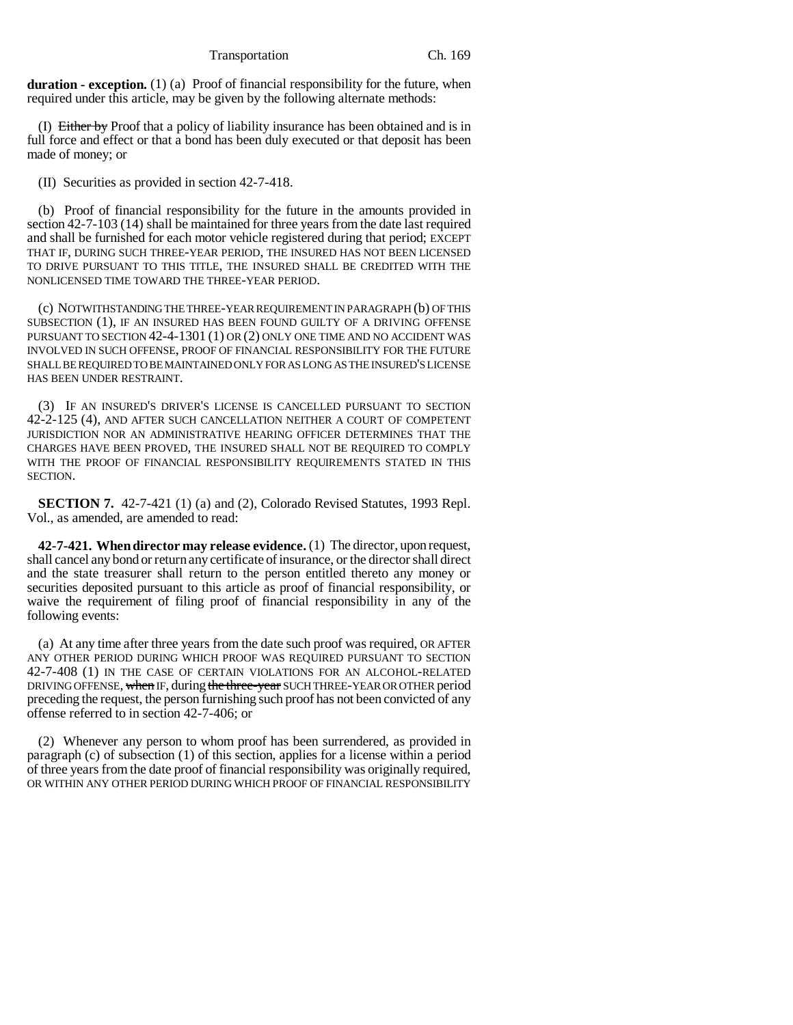Transportation Ch. 169

**duration - exception.** (1) (a) Proof of financial responsibility for the future, when required under this article, may be given by the following alternate methods:

(I) Either by Proof that a policy of liability insurance has been obtained and is in full force and effect or that a bond has been duly executed or that deposit has been made of money; or

(II) Securities as provided in section 42-7-418.

(b) Proof of financial responsibility for the future in the amounts provided in section 42-7-103 (14) shall be maintained for three years from the date last required and shall be furnished for each motor vehicle registered during that period; EXCEPT THAT IF, DURING SUCH THREE-YEAR PERIOD, THE INSURED HAS NOT BEEN LICENSED TO DRIVE PURSUANT TO THIS TITLE, THE INSURED SHALL BE CREDITED WITH THE NONLICENSED TIME TOWARD THE THREE-YEAR PERIOD.

(c) NOTWITHSTANDING THE THREE-YEAR REQUIREMENT IN PARAGRAPH (b) OF THIS SUBSECTION (1), IF AN INSURED HAS BEEN FOUND GUILTY OF A DRIVING OFFENSE PURSUANT TO SECTION 42-4-1301 (1) OR (2) ONLY ONE TIME AND NO ACCIDENT WAS INVOLVED IN SUCH OFFENSE, PROOF OF FINANCIAL RESPONSIBILITY FOR THE FUTURE SHALL BE REQUIRED TO BE MAINTAINED ONLY FOR AS LONG AS THE INSURED'S LICENSE HAS BEEN UNDER RESTRAINT.

(3) IF AN INSURED'S DRIVER'S LICENSE IS CANCELLED PURSUANT TO SECTION 42-2-125 (4), AND AFTER SUCH CANCELLATION NEITHER A COURT OF COMPETENT JURISDICTION NOR AN ADMINISTRATIVE HEARING OFFICER DETERMINES THAT THE CHARGES HAVE BEEN PROVED, THE INSURED SHALL NOT BE REQUIRED TO COMPLY WITH THE PROOF OF FINANCIAL RESPONSIBILITY REQUIREMENTS STATED IN THIS SECTION.

**SECTION 7.** 42-7-421 (1) (a) and (2), Colorado Revised Statutes, 1993 Repl. Vol., as amended, are amended to read:

**42-7-421. When director may release evidence.** (1) The director, upon request, shall cancel any bond or return any certificate of insurance, or the director shall direct and the state treasurer shall return to the person entitled thereto any money or securities deposited pursuant to this article as proof of financial responsibility, or waive the requirement of filing proof of financial responsibility in any of the following events:

(a) At any time after three years from the date such proof was required, OR AFTER ANY OTHER PERIOD DURING WHICH PROOF WAS REQUIRED PURSUANT TO SECTION 42-7-408 (1) IN THE CASE OF CERTAIN VIOLATIONS FOR AN ALCOHOL-RELATED DRIVING OFFENSE, when IF, during the three-year SUCH THREE-YEAR OR OTHER period preceding the request, the person furnishing such proof has not been convicted of any offense referred to in section 42-7-406; or

(2) Whenever any person to whom proof has been surrendered, as provided in paragraph (c) of subsection (1) of this section, applies for a license within a period of three years from the date proof of financial responsibility was originally required, OR WITHIN ANY OTHER PERIOD DURING WHICH PROOF OF FINANCIAL RESPONSIBILITY